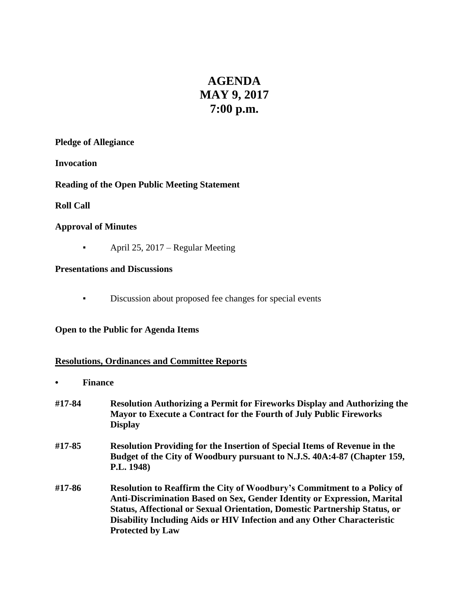# **AGENDA MAY 9, 2017 7:00 p.m.**

### **Pledge of Allegiance**

**Invocation**

**Reading of the Open Public Meeting Statement**

# **Roll Call**

# **Approval of Minutes**

**•** April 25, 2017 – Regular Meeting

# **Presentations and Discussions**

▪ Discussion about proposed fee changes for special events

# **Open to the Public for Agenda Items**

# **Resolutions, Ordinances and Committee Reports**

- **• Finance**
- **#17-84 Resolution Authorizing a Permit for Fireworks Display and Authorizing the Mayor to Execute a Contract for the Fourth of July Public Fireworks Display #17-85 Resolution Providing for the Insertion of Special Items of Revenue in the Budget of the City of Woodbury pursuant to N.J.S. 40A:4-87 (Chapter 159, P.L. 1948) #17-86 Resolution to Reaffirm the City of Woodbury's Commitment to a Policy of Anti-Discrimination Based on Sex, Gender Identity or Expression, Marital Status, Affectional or Sexual Orientation, Domestic Partnership Status, or Disability Including Aids or HIV Infection and any Other Characteristic Protected by Law**